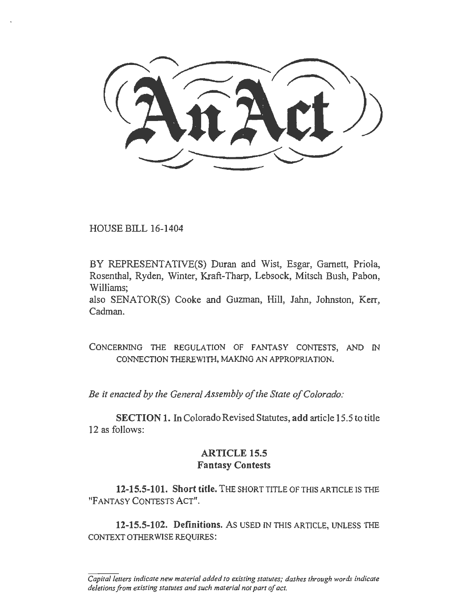HOUSE BILL 16-1404

BY REPRESENTATIVE(S) Duran and Wist, Esgar, Garnett, Priola, Rosenthal, Ryden, Winter, Kraft-Tharp, Lebsock, Mitsch Bush, Pabon, Williams;

also SENATOR(S) Cooke and Guzman, Hill, Jahn, Johnston, Kerr, Cadman.

CONCERNING THE REGULATION OF FANTASY CONTESTS, AND IN CONNECTION THEREWITH, MAKING AN APPROPRIATION.

*Be it enacted by the General Assembly of the State of Colorado:* 

SECTION 1. In Colorado Revised Statutes, add article 15.5 to title 12 as follows:

## ARTICLE 15.5 Fantasy Contests

12-15.5-101. Short title. THE SHORT TITLE OF THIS ARTICLE IS THE "FANTASY CONTESTS ACT".

12-15.5-102. Definitions. AS USED IN THIS ARTICLE, UNLESS THE CONTEXT OTHER WISE REQUIRES:

Capital letters indicate new material added to existing statutes; dashes through words indicate *deletions from existing statutes and such material not part of act.*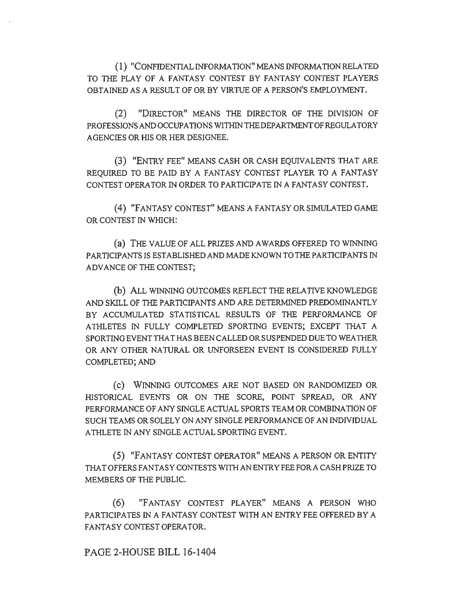( 1) "CONFIDENTIAL INFORMATION" MEANS INFORMATION RELATED TO THE PLAY OF A FANTASY CONTEST BY FANTASY CONTEST PLAYERS OBTAINED AS A RESULT OF OR BY VIRTUE OF A PERSON'S EMPLOYMENT.

(2) "DIRECTOR" MEANS THE DIRECTOR OF THE DIVISION OF PROFESSIONSANDOCCUPATIONS WITHINTHEDEPARTMENTOFREGULATORY AGENCIES OR HIS OR HER DESIGNEE.

(3) "ENTRY FEE" MEANS CASH OR CASH EQUIVALENTS THAT ARE REQUIRED TO BE PAID BY A FANTASY CONTEST PLAYER TO A FANTASY CONTEST OPERATOR IN ORDER TO PARTICIPATE IN A FANTASY CONTEST.

( 4) "FANTASY CONTEST" MEANS A FANTASY OR SIMULATED GAME OR CONTEST IN WHICH:

(a) THE VALUE OF ALL PRIZES AND A WARDS OFFERED TO WINNING PARTICIPANTS IS ESTABLISHED AND MADE KNOWN TO THE PARTICIPANTS IN ADVANCE OF THE CONTEST;

(b) ALL WINNING OUTCOMES REFLECT THE RELATIVE KNOWLEDGE AND SKILL OF THE PARTICIPANTS AND ARE DETERMINED PREDOMINANTLY BY ACCUMULATED STATISTICAL RESULTS OF THE PERFORMANCE OF ATHLETES IN FULLY COMPLETED SPORTING EVENTS; EXCEPT THAT A SPORTING EVENT THA THAS BEEN CALLED OR SUSPENDED DUE TO WEATHER OR ANY OTHER NATURAL OR UNFORSEEN EVENT IS CONSIDERED FULLY COMPLETED; AND

(c) WINNING OUTCOMES ARE NOT BASED ON RANDOMIZED OR HISTORICAL EVENTS OR ON THE SCORE, POINT SPREAD, OR ANY PERFORMANCE OF ANY SINGLE ACTUAL SPORTS TEAM OR COMBINATION OF SUCH TEAMS OR SOLELY ON ANY SINGLE PERFORMANCE OF AN INDIVIDUAL ATHLETE IN ANY SINGLE ACTUAL SPORTING EVENT.

(5) "FANTASY CONTEST OPERATOR" MEANS A PERSON OR ENTITY THAT OFFERS FANTASY CONTESTS WITH AN ENTRY FEE FOR A CASH PRIZE TO MEMBERS OF THE PUBLIC.

(6) "FANTASY CONTEST PLAYER" MEANS A PERSON WHO PARTICIPATES IN A FANTASY CONTEST WITH AN ENTRY FEE OFFERED BY A FANTASY CONTEST OPERATOR.

PAGE 2-HOUSE BILL 16-1404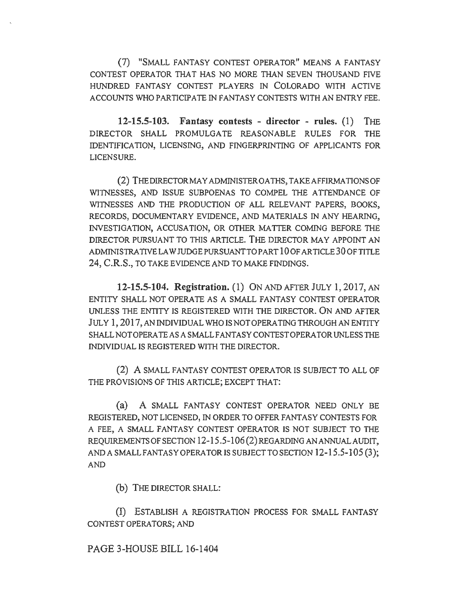(7) "SMALL FANTASY CONTEST OPERATOR" MEANS A FANTASY CONTEST OPERATOR THAT HAS NO MORE THAN SEVEN THOUSAND FIVE HUNDRED FANTASY CONTEST PLAYERS IN COLORADO WITH ACTIVE ACCOUNTS WHO PARTICIPATE IN FANTASY CONTESTS WITH AN ENTRY FEE.

**12-15.5-103. Fantasy contests - director - rules.** (1) THE DIRECTOR SHALL PROMULGATE REASONABLE RULES FOR THE IDENTIFICATION, LICENSING, AND FINGERPRINTING OF APPLICANTS FOR LICENSURE.

(2) THE DIRECTORMA Y ADMINISTER OATHS, TAKE AFFIRMATIONS OF WITNESSES, AND ISSUE SUBPOENAS TO COMPEL THE ATTENDANCE OF WITNESSES AND THE PRODUCTION OF ALL RELEVANT PAPERS, BOOKS, RECORDS, DOCUMENTARY EVIDENCE, AND MATERIALS IN ANY HEARING, INVESTIGATION, ACCUSATION, OR OTHER MATTER COMING BEFORE THE DIRECTOR PURSUANT TO THIS ARTICLE. THE DIRECTOR MAY APPOINT AN ADMINISTRATIVE LAW JUDGE PURSUANT TO PART 10 OF ARTICLE 30 OF TITLE 24, C.R.S., TO TAKE EVIDENCE AND TO MAKE FINDINGS.

**12-15.5-104. Registration.** (1) ON AND AFTER JULY **1,** 2017, AN ENTITY SHALL NOT OPERATE AS A SMALL FANTASY CONTEST OPERATOR UNLESS THE ENTITY IS REGISTERED WITH THE DIRECTOR. ON AND AFTER JULY **1,** 2017, AN INDIVIDUAL WHO IS NOT OPERATING THROUGH AN ENTITY SHALL NOT OPERATE AS A SMALL FANTASY CONTEST OPERA TOR UNLESS THE INDIVIDUAL IS REGISTERED WITH THE DIRECTOR.

(2) A SMALL FANTASY CONTEST OPERATOR IS SUBJECT TO ALL OF THE PROVISIONS OF THIS ARTICLE; EXCEPT THAT:

(a) A SMALL FANTASY CONTEST OPERATOR NEED ONLY BE REGISTERED, NOT LICENSED, IN ORDER TO OFFER FANTASY CONTESTS FOR A FEE, A SMALL FANTASY CONTEST OPERATOR IS NOT SUBJECT TO THE REQUIREMENTS OF SECTION 12-15.5-106 (2) REGARDING AN ANNUAL AUDIT, ANDA SMALLFANTASYOPERATORIS SUBJECT TO SECTION 12-15.5-105 (3); AND

(b) THE DIRECTOR SHALL:

(I) ESTABLISH A REGISTRATION PROCESS FOR SMALL FANTASY CONTEST OPERATORS; AND

PAGE 3-HOUSE BILL 16-1404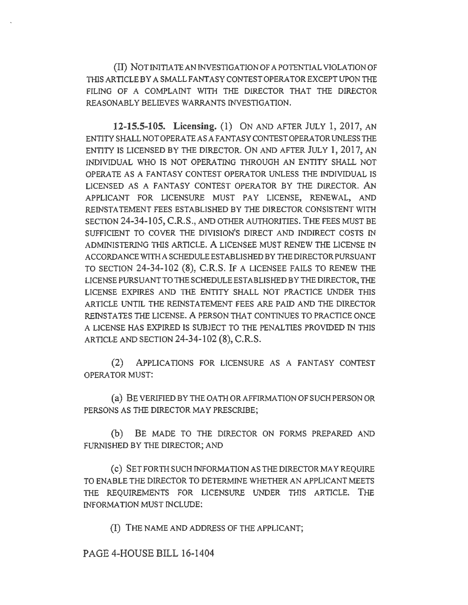(II) NOT INITIATE AN INVESTIGATION OF A POTENTIAL VIOLATION OF TillS ARTICLE BY A SMALL FANTASY CONTEST OPERA TOR EXCEPT UPON THE FILING OF A COMPLAINT WITH THE DIRECTOR THAT THE DIRECTOR REASONABLY BELIEVES WARRANTS INVESTIGATION.

**12-15.5-105. Licensing.** (1) ON AND AFTER JULY 1, 2017, AN ENTITY SHALL NOT OPERATE AS A FANTASY CONTEST OPERATOR UNLESS THE ENTITY IS LICENSED BY THE DIRECTOR. ON AND AFTER JULY 1, 2017, AN INDIVIDUAL WHO IS NOT OPERATING THROUGH AN ENTITY SHALL NOT OPERATE AS A FANTASY CONTEST OPERA TOR UNLESS THE INDIVIDUAL IS LICENSED AS A FANTASY CONTEST OPERATOR BY THE DIRECTOR. AN APPLICANT FOR LICENSURE MUST PAY LICENSE, RENEWAL, AND REINSTATEMENT FEES ESTABLISHED BY THE DIRECTOR CONSISTENT WITH SECTION 24-34-105, C.R.S., AND OTHER AUTHORITIES. THE FEES MUST BE SUFFICIENT TO COVER THE DIVISION'S DIRECT AND INDIRECT COSTS IN ADMINISTERING THIS ARTICLE. A LICENSEE MUST RENEW THE LICENSE IN ACCORDANCE WITH A SCHEDULE ESTABLISHED BY THE DIRECTOR PURSUANT TO SECTION 24-34-102 (8), C.R.S. IF A LICENSEE FAILS TO RENEW THE LICENSE PURSUANT TO THE SCHEDULE ESTABLISHED BY THE DIRECTOR, THE LICENSE EXPIRES AND THE ENTITY SHALL NOT PRACTICE UNDER THIS ARTICLE UNTIL THE REINSTATEMENT FEES ARE PAID AND THE DIRECTOR REINSTATES THE LICENSE. A PERSON THAT CONTINUES TO PRACTICE ONCE A LICENSE HAS EXPIRED IS SUBJECT TO TIIE PENAL TIES PROVIDED IN THIS ARTICLE AND SECTION 24-34-102 (8), C.R.S.

(2) APPLICATIONS FOR LICENSURE AS A FANTASY CONTEST OPERA TOR MUST:

(a) BE VERIFIED BY THE OATH OR AFFIRMATION OF SUCH PERSON OR PERSONS AS THE DIRECTOR MAY PRESCRIBE;

(b) BE MADE TO TIIE DIRECTOR ON FORMS PREPARED AND FURNISHED BY THE DIRECTOR; AND

(c) SET FORTH SUCH INFORMATION AS THE DIRECTOR MAY REQUIRE TO ENABLE THE DIRECTOR TO DETERMINE WHETHER AN APPLICANT MEETS THE REQUIREMENTS FOR LICENSURE UNDER THIS ARTICLE. THE INFORMATION MUST INCLUDE:

(I) THE NAME AND ADDRESS OF THE APPLICANT;

PAGE 4-HOUSE BILL 16-1404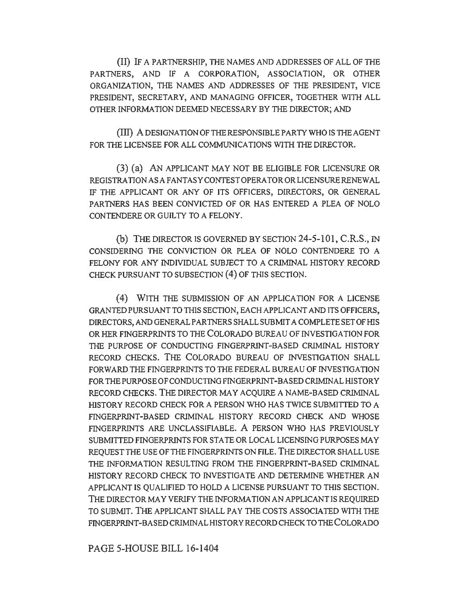(ID IF A PAR1NERSHIP, THE NAMES AND ADDRESSES OF ALL OF THE PARTNERS, AND IF A CORPORATION, ASSOCIATION, OR OTHER ORGANIZATION, THE NAMES AND ADDRESSES OF THE PRESIDENT, VICE PRESIDENT, SECRETARY, AND MANAGING OFFICER, TOGETHER WITH ALL OTHER INFORMATION DEEMED NECESSARY BY THE DIRECTOR; AND

(III) ADESIGNATIONOFTHERESPONSIBLEPARTYWHOISTHEAGENT FOR THE LICENSEE FOR ALL COMMUNICATIONS WITH THE DIRECTOR.

(3) (a) AN APPLICANT MAY NOT BE ELIGIBLE FOR LICENSURE OR REGISTRATION ASA FANTASY CONTEST OPERA TOR OR LICENSURE RENEWAL IF THE APPLICANT OR ANY OF ITS OFFICERS, DIRECTORS, OR GENERAL PARTNERS HAS BEEN CONVICTED OF OR HAS ENTERED A PLEA OF NOLO CONTENDERE OR GUILTY TO A FELONY.

(b) THE DIRECTOR IS GOVERNED BY SECTION 24-5-101, C.R.S., IN CONSIDERING THE CONVICTION OR PLEA OF NOLO CONTENDERE TO A FELONY FOR ANY INDIVIDUAL SUBJECT TO A CRIMINAL HISTORY RECORD CHECK PURSUANT TO SUBSECTION (4) OF THIS SECTION.

(4) WITH THE SUBMISSION OF AN APPLICATION FOR A LICENSE GRANTED PURSUANT TO THIS SECTION, EACH APPLICANT AND ITS OFFICERS, DIRECTORS, AND GENERAL PARTNERS SHALL SUBMIT A COMPLETE SET OF HIS OR HER FINGERPRINTS TO THE COLORADO BUREAU OF INVESTIGATION FOR THE PURPOSE OF CONDUCTING FINGERPRINT-BASED CRIMINAL HISTORY RECORD CHECKS. THE COLORADO BUREAU OF INVESTIGATION SHALL FORWARD THE FINGERPRINTS TO THE FEDERAL BUREAU OF INVESTIGATION FOR THE PURPOSE OF CONDUCTING FINGERPRINT-BASED CRIMINAL HISTORY RECORD CHECKS. THE DIRECTOR MAY ACQUIRE A NAME-BASED CRIMINAL HISTORY RECORD CHECK FOR A PERSON WHO HAS TWICE SUBMITTED TO A FINGERPRINT-BASED CRIMINAL HISTORY RECORD CHECK AND WHOSE FINGERPRINTS ARE UNCLASSIFlABLE. A PERSON WHO HAS PREVIOUSLY SUBMITTED FINGERPRINTS FOR STATE OR LOCAL LICENSING PURPOSES MAY REQUEST THE USE OF THE FINGERPRINTS ON FILE. THE DIRECTOR SHALL USE THE INFORMATION RESULTING FROM THE FINGERPRINT-BASED CRIMINAL HISTORY RECORD CHECK TO INVESTIGATE AND DETERMINE WHETHER AN APPLICANT IS QUALIFIED TO HOLD A LICENSE PURSUANT TO THIS SECTION. THE DIRECTOR MAY VERIFY THE INFORMATION AN APPLICANT IS REQUIRED TO SUBMIT. THE APPLICANT SHALL PAY THE COSTS ASSOCIATED WITH THE FINGERPRINT -BASED CRIMINAL HISTORY RECORD CHECK TO THE COLORADO

PAGE S-HOUSE BILL 16-1404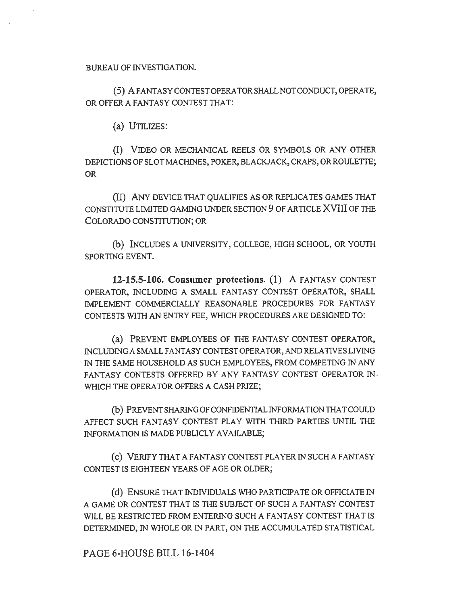## BUREAU OF INVESTIGATION.

(5) AFANTASYCONTESTOPERATORSHALLNOTCONDUCT,OPERATE, OR OFFER A FANTASY CONTEST THAT:

(a) UTILIZES:

(I) VIDEO OR MECHANICAL REELS OR SYMBOLS OR ANY OTHER DEPICTIONS OF SLOT MACHINES, POKER, BLACKJACK, CRAPS, OR ROULETTE; OR

(II) ANY DEVICE THAT QUALIFIES AS OR REPLICATES GAMES THAT CONSTITUTE LIMITED GAMING UNDER SECTION 9 OF ARTICLE XVIII OF TilE COLORADO CONSTITUTION; OR

(b) INCLUDES A UNIVERSITY, COLLEGE, HIGH SCHOOL, OR YOUTH SPORTING EVENT.

**12-15.5-106. Consumer protections.** (1) A FANTASY CONTEST OPERATOR, INCLUDING A SMALL FANTASY CONTEST OPERATOR, SHALL IMPLEMENT COMMERCIALLY REASONABLE PROCEDURES FOR FANTASY CONTESTS WITH AN ENTRY FEE, WHICH PROCEDURES ARE DESIGNED TO:

(a) PREVENT EMPLOYEES OF THE FANTASY CONTEST OPERATOR, INCLUDING A SMALL FANTASY CONTEST OPERA TOR, AND RELATIVES LIVING IN THE SAME HOUSEHOLD AS SUCH EMPLOYEES, FROM COMPETING IN ANY FANTASY CONTESTS OFFERED BY ANY FANTASY CONTEST OPERATOR IN - WHICH THE OPERA TOR OFFERS A CASH PRIZE;

(b) PREVENT SHARING OF CONFIDENTIAL INFORMATION TIIA T COULD AFFECT SUCH FANTASY CONTEST PLAY WITH THIRD PARTIES UNTIL TilE INFORMATION IS MADE PUBLICLY AVAILABLE;

(c) VERIFY THAT A FANTASY CONTEST PLAYER IN SUCH A FANTASY CONTEST IS EIGHTEEN YEARS OF AGE OR OLDER;

(d) ENSURE TIIAT INDIVIDUALS WHO PARTICIPATE OR OFFICIATE IN A GAME OR CONTEST TIIAT IS THE SUBJECT OF SUCH A FANTASY CONTEST WILL BE RESTRICTED FROM ENTERING SUCH A FANTASY CONTEST THAT IS DETERMINED, IN WHOLE OR IN PART, ON THE ACCUMULATED STATISTICAL

PAGE 6-HOUSE BILL 16-1404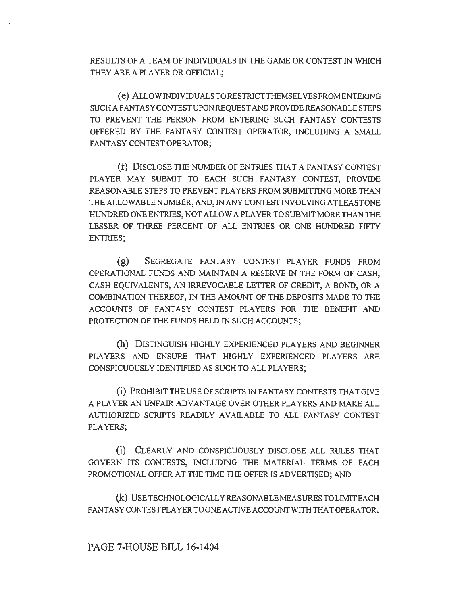RESULTS OF A TEAM OF INDIVIDUALS IN THE GAME OR CONTEST IN WHICH THEY ARE A PLAYER OR OFFICIAL;

(e) ALLOW INDIVIDUALS TO RESTRICTTHEMSEL VES FROM ENTERING SUCH A FANTASY CONTEST UPON REQUEST AND PROVIDE REASONABLE STEPS TO PREVENT THE PERSON FROM ENTERING SUCH FANTASY CONTESTS OFFERED BY THE FANTASY CONTEST OPERATOR, INCLUDING A SMALL FANTASY CONTEST OPERATOR;

(f) DISCLOSE THE NUMBER OF ENTRIES THAT A FANTASY CONTEST PLAYER MAY SUBMIT TO EACH SUCH FANTASY CONTEST, PROVIDE REASONABLE STEPS TO PREVENT PLAYERS FROM SUBMITTING MORE THAN THE ALLOWABLE NUMBER, AND, IN ANY CONTEST INVOLVING AT LEAST ONE HUNDRED ONE ENTRIES, NOT ALLOW A PLAYER TO SUBMIT MORE THAN THE LESSER OF THREE PERCENT OF ALL ENTRIES OR ONE HUNDRED FIFTY ENTRIES;

(g) SEGREGATE FANTASY CONTEST PLAYER FUNDS FROM OPERATIONAL FUNDS AND MAINTAIN A RESERVE IN THE FORM OF CASH, CASH EQUIVALENTS, AN IRREVOCABLE LETTER OF CREDIT, A BOND, OR A COMBINATION THEREOF, IN THE AMOUNT OF THE DEPOSITS MADE TO THE ACCOUNTS OF FANTASY CONTEST PLAYERS FOR THE BENEFIT AND PROTECTION OF THE FUNDS HELD IN SUCH ACCOUNTS;

(h) DISTINGUISH HIGHLY EXPERIENCED PLAYERS AND BEGINNER PLAYERS AND ENSURE THAT HIGHLY EXPERIENCED PLAYERS ARE CONSPICUOUSLY IDENTIFIED AS SUCH TO ALL PLAYERS;

(i) PROHIBIT THE USE OF SCRIPTS IN FANTASY CONTESTS THAT GIVE A PLAYER AN UNFAIR ADVANTAGE OVER OTHER PLAYERS AND MAKE ALL AUTHORIZED SCRIPTS READILY AVAILABLE TO ALL FANTASY CONTEST PLAYERS;

G) CLEARLY AND CONSPICUOUSLY DISCLOSE ALL RULES THAT GOVERN ITS CONTESTS, INCLUDING THE MATERIAL TERMS OF EACH PROMOTIONAL OFFER AT THE TIME THE OFFER IS ADVERTISED; AND

(k) USE TECHNOLOGICALLY REASONABLE MEASURES TO LIMIT EACH FANTASY CONTESTPLA YER TOONEACTIVEACCOUNTWITH THAT OPERA TOR.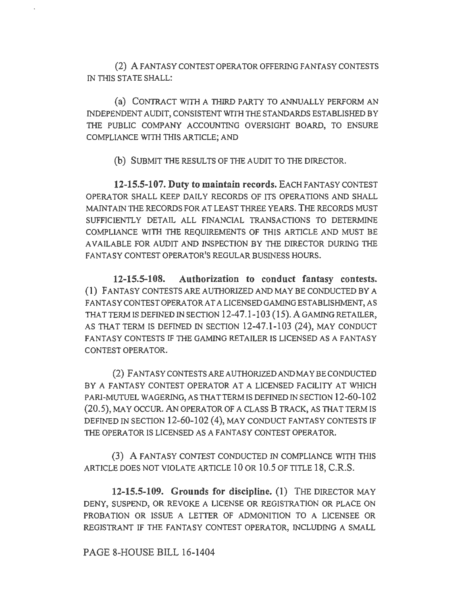(2) A FANTASY CONTEST OPERA TOR OFFERING FANTASY CONTESTS IN THIS STATE SHALL:

(a) CONTRACT WITH A THIRD PARTY TO ANNUALLY PERFORM AN INDEPENDENT AUDIT, CONSISTENT WITH THE STANDARDS ESTABLISHED BY THE PUBLIC COMPANY ACCOUNTING OVERSIGHT BOARD, TO ENSURE COMPLIANCE WITH THIS ARTICLE; AND

(b) SUBMIT THE RESULTS OF THE AUDIT TO THE DIRECTOR.

12-15.5-107. Duty to maintain records. EACH FANTASY CONTEST OPERA TOR SHALL KEEP DAILY RECORDS OF ITS OPERATIONS AND SHALL MAINTAIN THE RECORDS FOR AT LEAST THREE YEARS. THE RECORDS MUST SUFFICIENTLY DETAIL ALL FINANCIAL TRANSACTIONS TO DETERMINE COMPLIANCE WITH THE REQUIREMENTS OF THIS ARTICLE AND MUST BE AVAILABLE FOR AUDIT AND INSPECTION BY THE DIRECTOR DURING THE FANTASY CONTEST OPERATOR'S REGULAR BUSINESS HOURS.

12-15.5-108. Authorization to conduct fantasy contests. ( 1) FANTASY CONTESTS ARE AUTHORIZED AND MAY BE CONDUCTED BY A FANTASY CONTEST OPERA TOR AT A LICENSED GAMING ESTABLISHMENT, AS THAT TERM IS DEFINED IN SECTION 12-47.1-103 (15). A GAMING RETAILER, AS THAT TERM IS DEFINED IN SECTION 12-47.1-103 (24), MAY CONDUCT FANTASY CONTESTS IF THE GAMING RETAILER IS LICENSED AS A FANTASY CONTEST OPERATOR.

(2) FANTASY CONTESTS ARE AUTHORIZED AND MAY BE CONDUCTED BY A FANTASY CONTEST OPERATOR AT A LICENSED FACILITY AT WHICH PARI-MUTUEL WAGERING, AS THAT TERM IS DEFINED IN SECTION 12-60-102 (20.5), MAY OCCUR. AN OPERA TOR OF A CLASS B TRACK, AS THAT TERM IS DEFINED IN SECTION 12-60-102 (4), MAY CONDUCT FANTASY CONTESTS IF THE OPERA TOR IS LICENSED AS A FANTASY CONTEST OPERA TOR.

(3) A FANTASY CONTEST CONDUCTED IN COMPLIANCE WITH THIS ARTICLE DOES NOT VIOLATE ARTICLE 10 OR 10.5 OF TITLE 18, C.R.S.

12-15.5-109. Grounds for discipline. (1) THE DIRECTOR MAY DENY, SUSPEND, OR REVOKE A LICENSE OR REGISTRATION OR PLACE ON PROBATION OR ISSUE A LETTER OF ADMONITION TO A LICENSEE OR REGISTRANT IF THE FANTASY CONTEST OPERATOR, INCLUDING A SMALL

PAGE 8-HOUSE BILL 16-1404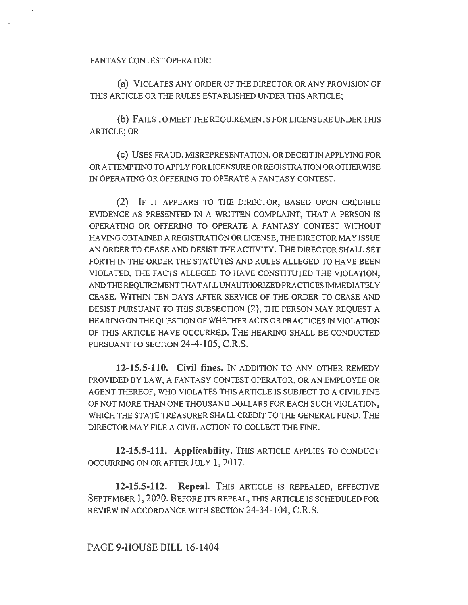FANTASY CONTEST OPERA TOR:

(a) VIOLATES ANY ORDER OF THE DIRECTOR OR ANY PROVISION OF THIS ARTICLE OR THE RULES ESTABLISHED UNDER THIS ARTICLE;

(b) FAILS TO MEET THE REQUIREMENTS FOR LICENSURE UNDER THIS ARTICLE; OR

(c) USES FRAUD, MISREPRESENTATION, OR DECEIT IN APPLYING FOR ORA TTEMPTING TO APPLY FOR LICENSUREORREGISTRA TION OR OTHERWISE IN OPERATING OR OFFERING TO OPERATE A FANTASY CONTEST.

(2) IF IT APPEARS TO THE DIRECTOR, BASED UPON CREDIBLE EVIDENCE AS PRESENTED IN A WRITTEN COMPLAINT, THAT A PERSON IS OPERATING OR OFFERING TO OPERATE A FANTASY CONTEST WITHOUT HAVING OBTAINED A REGISTRATION OR LICENSE, THE DIRECTOR MAY ISSUE AN ORDER TO CEASE AND DESIST THE ACTIVITY. THE DIRECTOR SHALL SET FORTH IN THE ORDER THE STATUTES AND RULES ALLEGED TO HAVE BEEN VIOLA TED, THE FACTS ALLEGED TO HAVE CONSTITUTED THE VIOLATION, AND THE REQUIREMENT THAT ALL UNAUTHORIZED PRACTICES IMMEDIATELY CEASE. WITHIN TEN DAYS AFTER SERVICE OF THE ORDER TO CEASE AND DESIST PURSUANT TO THIS SUBSECTION (2), THE PERSON MAY REQUEST A HEARING ON THE QUESTION OF WHETHER ACTS OR PRACTICES IN VIOLATION OF THIS ARTICLE HAVE OCCURRED. THE HEARING SHALL BE CONDUCTED PURSUANT TO SECTION 24-4-105, C.R.S.

**12-15.5-110. Civil fines.** IN ADDITION TO ANY OTHER REMEDY PROVIDED BY LAW, A FANTASY CONTEST OPERA TOR, OR AN EMPLOYEE OR AGENT THEREOF, WHO VIOLATES THIS ARTICLE IS SUBJECT TO A CIVIL FINE OF NOT MORE THAN ONE THOUSAND DOLLARS FOR EACH SUCH VIOLATION, WHICH THE STATE TREASURER SHALL CREDIT TO THE GENERAL FUND. THE DIRECTOR MAY FILE A CIVIL ACTION TO COLLECT THE FINE.

**12-15.5-111. Applicability.** THIS ARTICLE APPLIES TO CONDUCT OCCURRING ON OR AFTER JULY **1,** 2017.

**12-15.5-112. Repeal.** THIS ARTICLE IS REPEALED, EFFECTIVE SEPTEMBER **1,** 2020. BEFORE ITS REPEAL, THIS ARTICLE IS SCHEDULED FOR REVIEW IN ACCORDANCE WITH SECTION 24-34-104, C.R.S.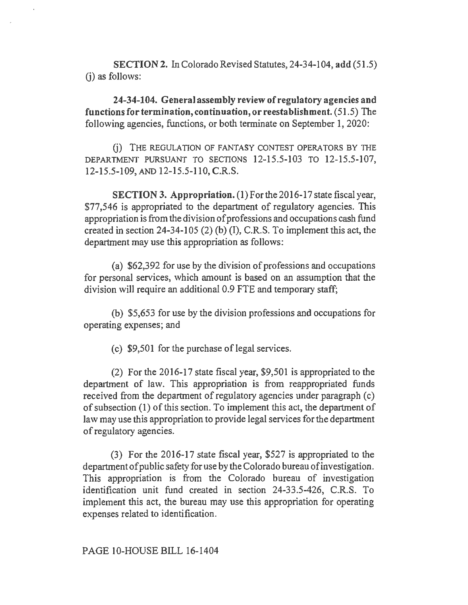SECTION 2. In Colorado Revised Statutes, 24-34-104, add (51.5) (i) as follows:

24-34-104. General assembly review of regulatory agencies and functions for termination, continuation, or reestablishment. ( 51.5) The following agencies, functions, or both terminate on September 1, 2020:

0) THE REGULATION OF FANTASY CONTEST OPERATORS BY THE DEPARTMENT PURSUANT TO SECTIONS 12-15.5-103 TO 12-15.5-107, 12-15.5-109, AND 12-15.5-110, C.R.S.

SECTION 3. Appropriation. (1) For the 2016-17 state fiscal year, \$77,546 is appropriated to the department of regulatory agencies. This appropriation is from the division of professions and occupations cash fund created in section 24-34-105 (2) (b) (I), C.R.S. To implement this act, the department may use this appropriation as follows:

(a) \$62,392 for use by the division of professions and occupations for personal services, which amount is based on an assumption that the division will require an additional 0.9 FTE and temporary staff;

(b) \$5,653 for use by the division professions and occupations for operating expenses; and

(c) \$9,501 for the purchase of legal services.

(2) For the 2016-17 state fiscal year, \$9,501 is appropriated to the department of law. This appropriation is from reappropriated funds received from the department of regulatory agencies under paragraph (c) of subsection (1) of this section. To implement this act, the department of law may use this appropriation to provide legal services for the department of regulatory agencies.

(3) For the 2016-17 state fiscal year, \$527 is appropriated to the department of public safety for use by the Colorado bureau of investigation. This appropriation is from the Colorado bureau of investigation identification unit fund created in section 24-33.5-426, C.R.S. To implement this act, the bureau may use this appropriation for operating expenses related to identification.

PAGE 10-HOUSE BILL 16-1404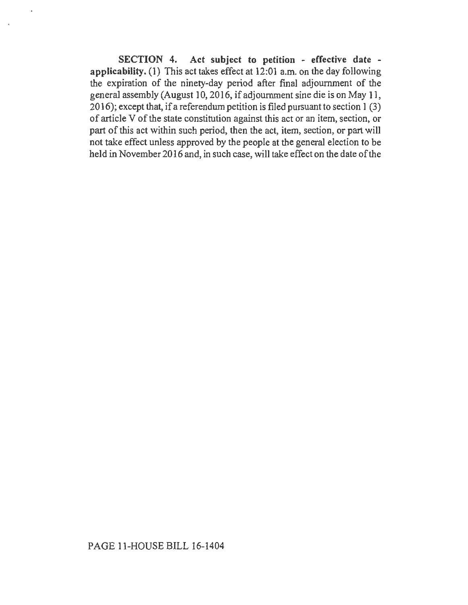SECTION 4. Act subject to petition - effective date applicability. (I) This act takes effect at 12:01 a.m. on the day following the expiration of the ninety-day period after final adjournment of the general assembly (August 10, 2016, if adjournment sine die is on May 11, 20 16); except that, if a referendum petition is filed pursuant to section 1 (3) of article  $V$  of the state constitution against this act or an item, section, or part of this act within such period, then the act, item, section, or part will not take effect unless approved by the people at the general election to be held in November 2016 and, in such case, will take effect on the date of the